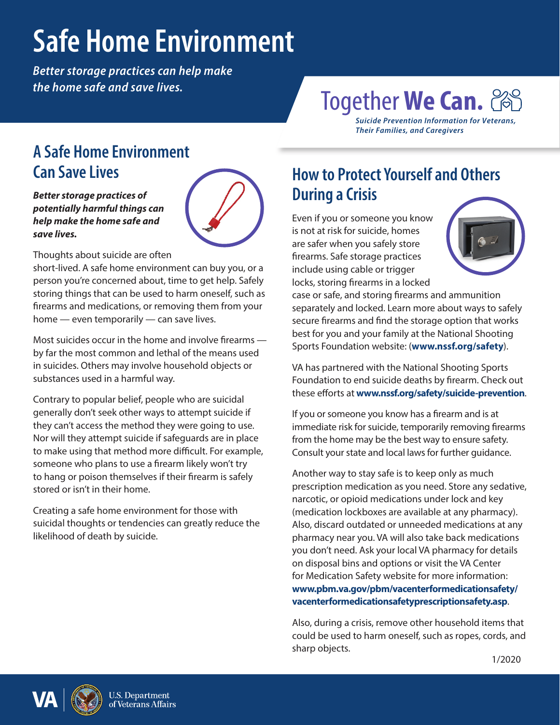# **Safe Home Environment**

*Better storage practices can help make the home safe and save lives.*

# Together **We Can.**

*Suicide Prevention Information for Veterans, Their Families, and Caregivers*

#### **A Safe Home Environment Can Save Lives**

*Better storage practices of potentially harmful things can help make the home safe and save lives.* 



Thoughts about suicide are often

short-lived. A safe home environment can buy you, or a person you're concerned about, time to get help. Safely storing things that can be used to harm oneself, such as firearms and medications, or removing them from your home — even temporarily — can save lives.

Most suicides occur in the home and involve firearms by far the most common and lethal of the means used in suicides. Others may involve household objects or substances used in a harmful way.

Contrary to popular belief, people who are suicidal generally don't seek other ways to attempt suicide if they can't access the method they were going to use. Nor will they attempt suicide if safeguards are in place to make using that method more difficult. For example, someone who plans to use a firearm likely won't try to hang or poison themselves if their firearm is safely stored or isn't in their home.

Creating a safe home environment for those with suicidal thoughts or tendencies can greatly reduce the likelihood of death by suicide.

## **How to Protect Yourself and Others During a Crisis**

Even if you or someone you know is not at risk for suicide, homes are safer when you safely store firearms. Safe storage practices include using cable or trigger locks, storing firearms in a locked



case or safe, and storing firearms and ammunition separately and locked. Learn more about ways to safely secure firearms and find the storage option that works best for you and your family at the National Shooting Sports Foundation website: (**[www.nssf.org/safety](https://www.nssf.org/safety/)**).

VA has partnered with the National Shooting Sports Foundation to end suicide deaths by firearm. Check out these efforts at **[www.nssf.org/safety/suicide-prevention](http://www.nssf.org/safety/suicide-prevention)**.

If you or someone you know has a firearm and is at immediate risk for suicide, temporarily removing firearms from the home may be the best way to ensure safety. Consult your state and local laws for further guidance.

Another way to stay safe is to keep only as much prescription medication as you need. Store any sedative, narcotic, or opioid medications under lock and key (medication lockboxes are available at any pharmacy). Also, discard outdated or unneeded medications at any pharmacy near you. VA will also take back medications you don't need. Ask your local VA pharmacy for details on disposal bins and options or visit the VA Center for Medication Safety website for more information: **[www.pbm.va.gov/pbm/vacenterformedicationsafety/](http://www.pbm.va.gov/pbm/vacenterformedicationsafety/vacenterformedicationsafetyprescriptionsafety.asp) [vacenterformedicationsafetyprescriptionsafety.asp](http://www.pbm.va.gov/pbm/vacenterformedicationsafety/vacenterformedicationsafetyprescriptionsafety.asp)**.

Also, during a crisis, remove other household items that could be used to harm oneself, such as ropes, cords, and sharp objects.